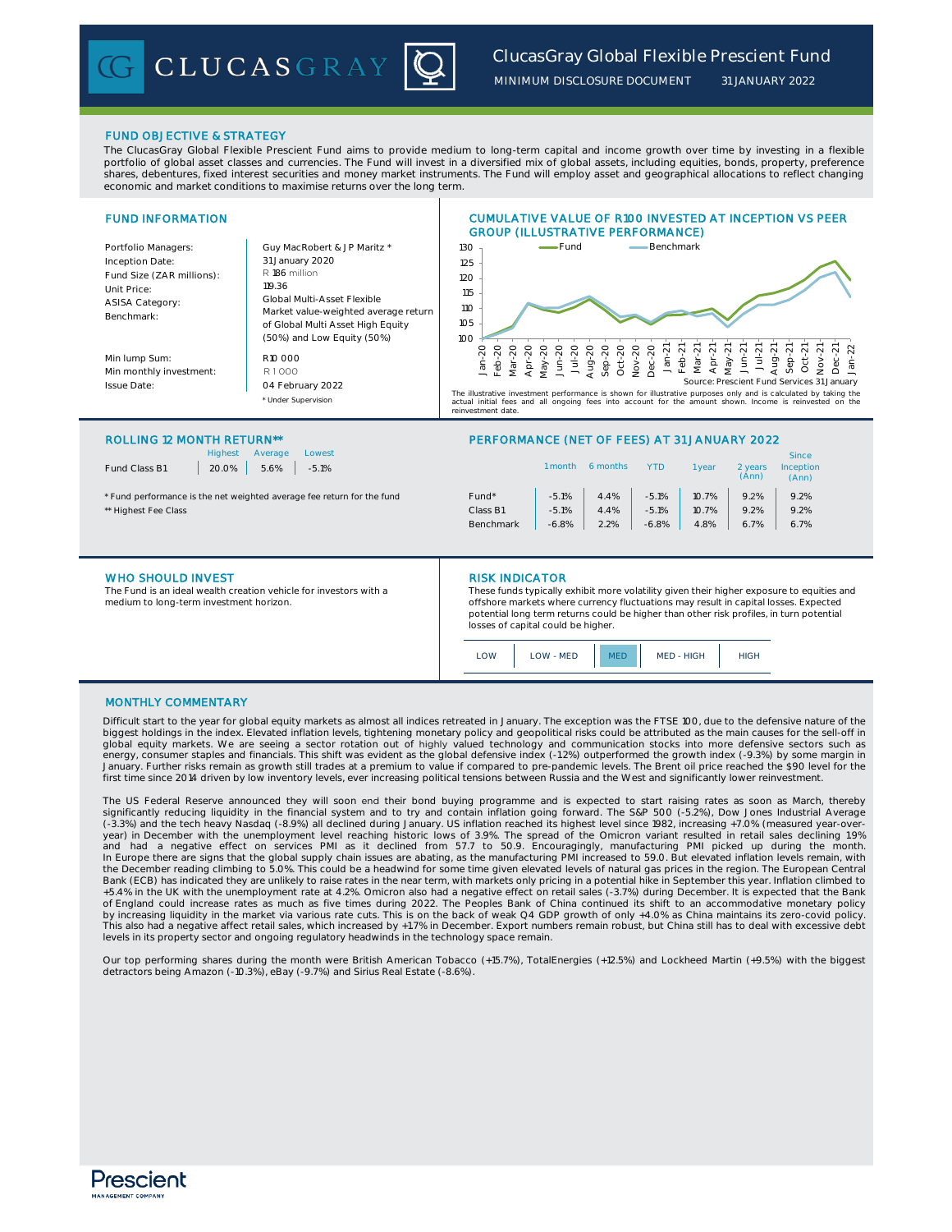CLUCASGRAY

*MINIMUM DISCLOSURE DOCUMENT*

*31 JANUARY 2022*

# FUND OBJECTIVE & STRATEGY

The ClucasGray Global Flexible Prescient Fund aims to provide medium to long-term capital and income growth over time by investing in a flexible portfolio of global asset classes and currencies. The Fund will invest in a diversified mix of global assets, including equities, bonds, property, preference shares, debentures, fixed interest securities and money market instruments. The Fund will employ asset and geographical allocations to reflect changing economic and market conditions to maximise returns over the long term.

| <b>FUND INFORMATION</b>                                                          |                                                                                                                                     | <b>CUMULATIVE VALUE OF R100 INVESTED AT INCEPTION VS PEER</b><br><b>GROUP (ILLUSTRATIVE PERFORMANCE)</b>                                                                                                                                                                                                                                                                                                                                                                                |
|----------------------------------------------------------------------------------|-------------------------------------------------------------------------------------------------------------------------------------|-----------------------------------------------------------------------------------------------------------------------------------------------------------------------------------------------------------------------------------------------------------------------------------------------------------------------------------------------------------------------------------------------------------------------------------------------------------------------------------------|
| Portfolio Managers:<br>Inception Date:                                           | Guy MacRobert & JP Maritz *<br>31 January 2020                                                                                      | -Benchmark<br>Fund<br>130<br>125                                                                                                                                                                                                                                                                                                                                                                                                                                                        |
| Fund Size (ZAR millions):<br>Unit Price:<br><b>ASISA Category:</b><br>Benchmark: | R 186 million<br>119.36<br>Global Multi-Asset Flexible<br>Market value-weighted average return<br>of Global Multi Asset High Equity | 120<br>115<br>110<br>105                                                                                                                                                                                                                                                                                                                                                                                                                                                                |
| Min lump Sum:<br>Min monthly investment:<br><b>Issue Date:</b>                   | (50%) and Low Equity (50%)<br>R10000<br>R1000<br>04 February 2022<br>* Under Supervision                                            | 10C<br><b>តតតតតតតតត</b><br>ಸ<br>$\sim$<br>まちょう<br>$\frac{1}{2}$ $\frac{1}{2}$ $\frac{1}{2}$ $\frac{1}{2}$ $\frac{1}{2}$<br>gux<br>a<br>Feb<br>Mari<br>高与<br>å ö<br>è<br>Po<br>良<br>दे<br>Source: Prescient Fund Services 31 January<br>The illustrative investment performance is shown for illustrative purposes only and is calculated by taking the<br>actual initial fees and all ongoing fees into account for the amount shown. Income is reinvested on the<br>reinvestment date. |

#### ROLLING 12 MONTH RETURN\*\* PERFORMANCE (NET OF FEES) AT 31 JANUARY 2022

| <b>Highest</b><br>Lowest<br>Average<br>Fund Class B1<br>5.6%<br>20.0%<br>$-5.1%$ |           | 1 month | 6 months | <b>YTD</b> | vear  | 2 years<br>(Ann) | <b>Since</b><br>Inception<br>(Ann) |  |
|----------------------------------------------------------------------------------|-----------|---------|----------|------------|-------|------------------|------------------------------------|--|
| * Fund performance is the net weighted average fee return for the fund           | Fund*     | $-5.1%$ | 4.4%     | $-5.1%$    | 10.7% | 9.2%             | 9.2%                               |  |
| ** Highest Fee Class                                                             | Class B1  | $-5.1%$ | 4.4%     | $-5.1%$    | 10.7% | 9.2%             | 9.2%                               |  |
|                                                                                  | Benchmark | $-6.8%$ | 2.2%     | $-6.8%$    | 4.8%  | 6.7%             | 6.7%                               |  |
|                                                                                  |           |         |          |            |       |                  |                                    |  |

#### WHO SHOULD INVEST **RISK INDICATOR**

The Fund is an ideal wealth creation vehicle for investors with a medium to long-term investment horizon.

These funds typically exhibit more volatility given their higher exposure to equities and offshore markets where currency fluctuations may result in capital losses. Expected potential long term returns could be higher than other risk profiles, in turn potential losses of capital could be higher.

| LOW - MED<br>OM |  | MED - HIGH | IIGH |
|-----------------|--|------------|------|
|-----------------|--|------------|------|

## MONTHLY COMMENTARY

Difficult start to the year for global equity markets as almost all indices retreated in January. The exception was the FTSE 100, due to the defensive nature of the biggest holdings in the index. Elevated inflation levels, tightening monetary policy and geopolitical risks could be attributed as the main causes for the sell-off in<br>global equity markets. We are seeing a sector rotation January. Further risks remain as growth still trades at a premium to value if compared to pre-pandemic levels. The Brent oil price reached the \$90 level for the first time since 2014 driven by low inventory levels, ever increasing political tensions between Russia and the West and significantly lower reinvestment.

The US Federal Reserve announced they will soon end their bond buying programme and is expected to start raising rates as soon as March, thereby<br>significantly reducing liquidity in the financial system and to try and conta (-3.3%) and the tech heavy Nasdaq (-8.9%) all declined during January. US inflation reached its highest level since 1982, increasing +7.0% (measured year-overyear) in December with the unemployment level reaching historic lows of 3.9%. The spread of the Omicron variant resulted in retail sales declining 1.9%<br>and had a negative effect on services PMI as it declined from 57.7 to the December reading climbing to 5.0%. This could be a headwind for some time given elevated levels of natural gas prices in the region. The European Central Bank (ECB) has indicated they are unlikely to raise rates in the near term, with markets only pricing in a potential hike in September this year. Inflation climbed to<br>+5.4% in the UK with the unemployment rate at 4.2%. Omi by increasing liquidity in the market via various rate cuts. This is on the back of weak Q4 GDP growth of only +4.0% as China maintains its zero-covid policy. This also had a negative affect retail sales, which increased by +1.7% in December. Export numbers remain robust, but China still has to deal with excessive debt levels in its property sector and ongoing regulatory headwinds in the technology space remain.

Our top performing shares during the month were British American Tobacco (+15.7%), TotalEnergies (+12.5%) and Lockheed Martin (+9.5%) with the biggest detractors being Amazon (-10.3%), eBay (-9.7%) and Sirius Real Estate (-8.6%).

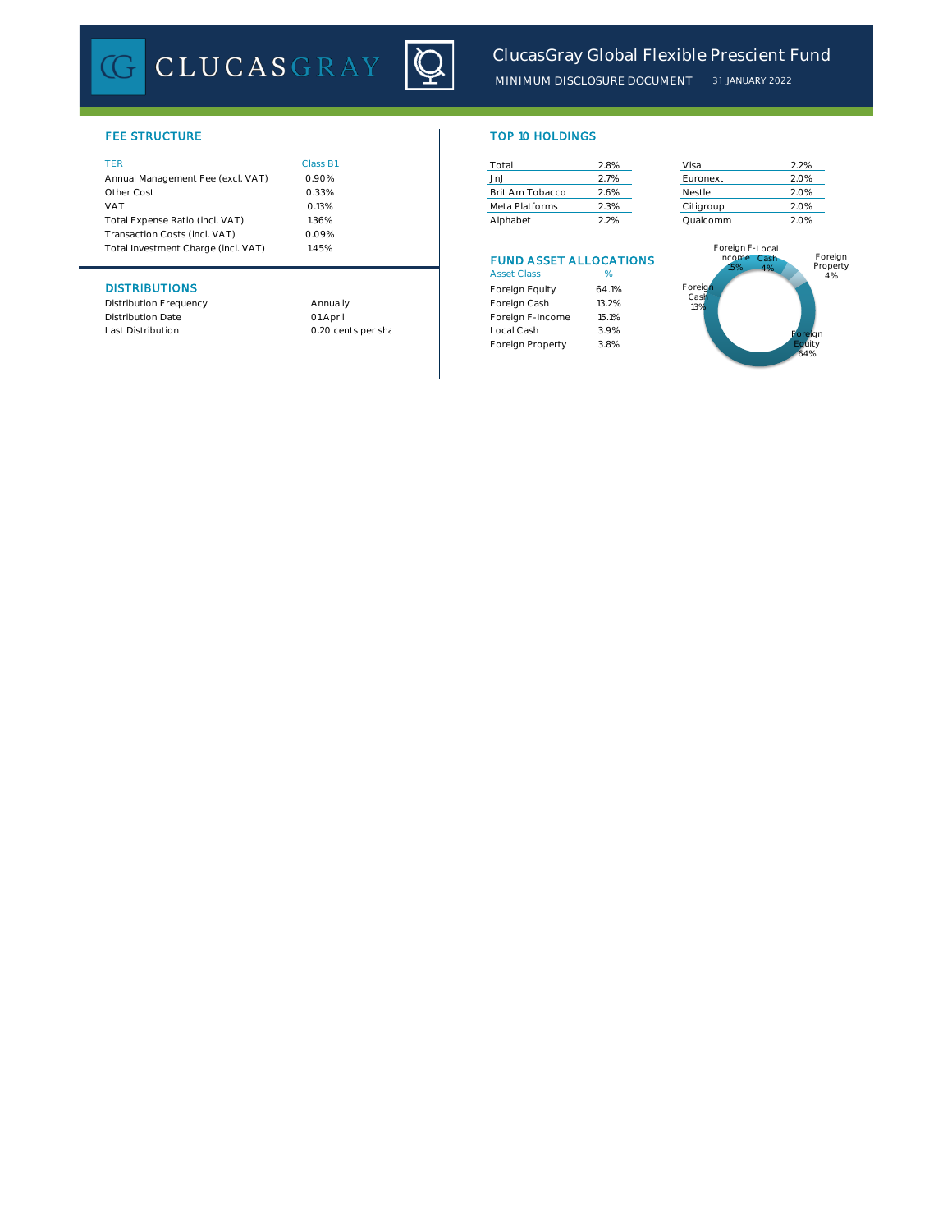CLUCASGRAY



# **FEE STRUCTURE**

| Income Cash<br>ELIND ACCET ALLOCATIONIC |                                      |
|-----------------------------------------|--------------------------------------|
| Foreign F-Local                         |                                      |
|                                         |                                      |
| 2.2%<br>Qualcomm                        | 2.0%                                 |
| Citigroup                               | 2.0%                                 |
| Nestle                                  | 2.0%                                 |
| Euronext                                | 2.0%                                 |
|                                         | 2.2%                                 |
|                                         | 2.8%<br>Visa<br>2.7%<br>2.6%<br>2.3% |

# **DISTRIBUTIONS**

Distribution Frequency **Annually** Annually Distribution Date<br>Last Distribution

01 April

| TOP 10 HOLDINGS |  |  |
|-----------------|--|--|
|                 |  |  |
|                 |  |  |

| Total           | 2.8% |
|-----------------|------|
| JnJ             | 2.7% |
| Brit Am Tobacco | 2.6% |
| Meta Platforms  | 2.3% |
| Alphabet        | 2.2% |

# FUND ASSET ALLOCATIONS

| <b>Asset Class</b> | %     |
|--------------------|-------|
| Foreign Equity     | 641%  |
| Foreign Cash       | 13.2% |
| Foreign F-Income   | 15.1% |
| Local Cash         | 3.9%  |
| Foreign Property   | 3.8%  |